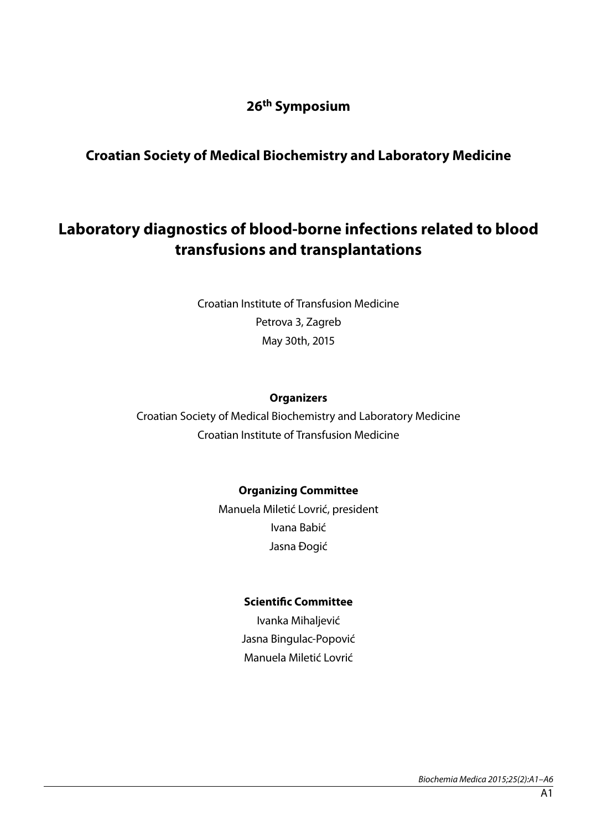## **26th Symposium**

# **Croatian Society of Medical Biochemistry and Laboratory Medicine**

# **Laboratory diagnostics of blood-borne infections related to blood transfusions and transplantations**

Croatian Institute of Transfusion Medicine Petrova 3, Zagreb May 30th, 2015

#### **Organizers**

Croatian Society of Medical Biochemistry and Laboratory Medicine Croatian Institute of Transfusion Medicine

#### **Organizing Committee**

Manuela Miletić Lovrić, president Ivana Babić Jasna Đogić

#### **Scientific Committee**

Ivanka Mihaljević Jasna Bingulac-Popović Manuela Miletić Lovrić

*Biochemia Medica 2015;25(2):A1–A6*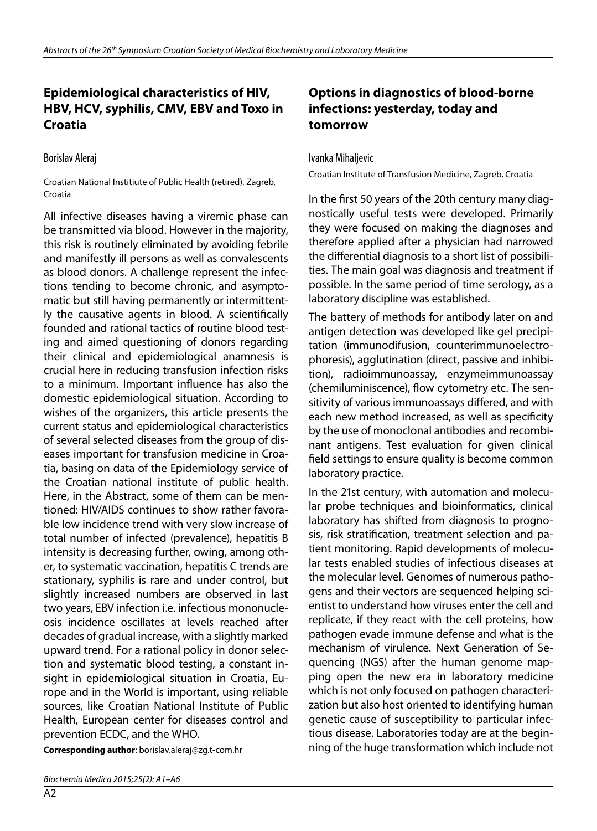## **Epidemiological characteristics of HIV, HBV, HCV, syphilis, CMV, EBV and Toxo in Croatia**

Borislav Aleraj

Croatian National Institiute of Public Health (retired), Zagreb, Croatia

All infective diseases having a viremic phase can be transmitted via blood. However in the majority, this risk is routinely eliminated by avoiding febrile and manifestly ill persons as well as convalescents as blood donors. A challenge represent the infections tending to become chronic, and asymptomatic but still having permanently or intermittently the causative agents in blood. A scientifically founded and rational tactics of routine blood testing and aimed questioning of donors regarding their clinical and epidemiological anamnesis is crucial here in reducing transfusion infection risks to a minimum. Important influence has also the domestic epidemiological situation. According to wishes of the organizers, this article presents the current status and epidemiological characteristics of several selected diseases from the group of diseases important for transfusion medicine in Croatia, basing on data of the Epidemiology service of the Croatian national institute of public health. Here, in the Abstract, some of them can be mentioned: HIV/AIDS continues to show rather favorable low incidence trend with very slow increase of total number of infected (prevalence), hepatitis B intensity is decreasing further, owing, among other, to systematic vaccination, hepatitis C trends are stationary, syphilis is rare and under control, but slightly increased numbers are observed in last two years, EBV infection i.e. infectious mononucleosis incidence oscillates at levels reached after decades of gradual increase, with a slightly marked upward trend. For a rational policy in donor selection and systematic blood testing, a constant insight in epidemiological situation in Croatia, Europe and in the World is important, using reliable sources, like Croatian National Institute of Public Health, European center for diseases control and prevention ECDC, and the WHO.

**Corresponding author**: borislav.aleraj@zg.t-com.hr

 $A2$ 

#### **Options in diagnostics of blood-borne infections: yesterday, today and tomorrow**

Ivanka Mihaljevic

Croatian Institute of Transfusion Medicine, Zagreb, Croatia

In the first 50 years of the 20th century many diagnostically useful tests were developed. Primarily they were focused on making the diagnoses and therefore applied after a physician had narrowed the differential diagnosis to a short list of possibilities. The main goal was diagnosis and treatment if possible. In the same period of time serology, as a laboratory discipline was established.

The battery of methods for antibody later on and antigen detection was developed like gel precipitation (immunodifusion, counterimmunoelectrophoresis), agglutination (direct, passive and inhibition), radioimmunoassay, enzymeimmunoassay (chemiluminiscence), flow cytometry etc. The sensitivity of various immunoassays differed, and with each new method increased, as well as specificity by the use of monoclonal antibodies and recombinant antigens. Test evaluation for given clinical field settings to ensure quality is become common laboratory practice.

In the 21st century, with automation and molecular probe techniques and bioinformatics, clinical laboratory has shifted from diagnosis to prognosis, risk stratification, treatment selection and patient monitoring. Rapid developments of molecular tests enabled studies of infectious diseases at the molecular level. Genomes of numerous pathogens and their vectors are sequenced helping scientist to understand how viruses enter the cell and replicate, if they react with the cell proteins, how pathogen evade immune defense and what is the mechanism of virulence. Next Generation of Sequencing (NGS) after the human genome mapping open the new era in laboratory medicine which is not only focused on pathogen characterization but also host oriented to identifying human genetic cause of susceptibility to particular infectious disease. Laboratories today are at the beginning of the huge transformation which include not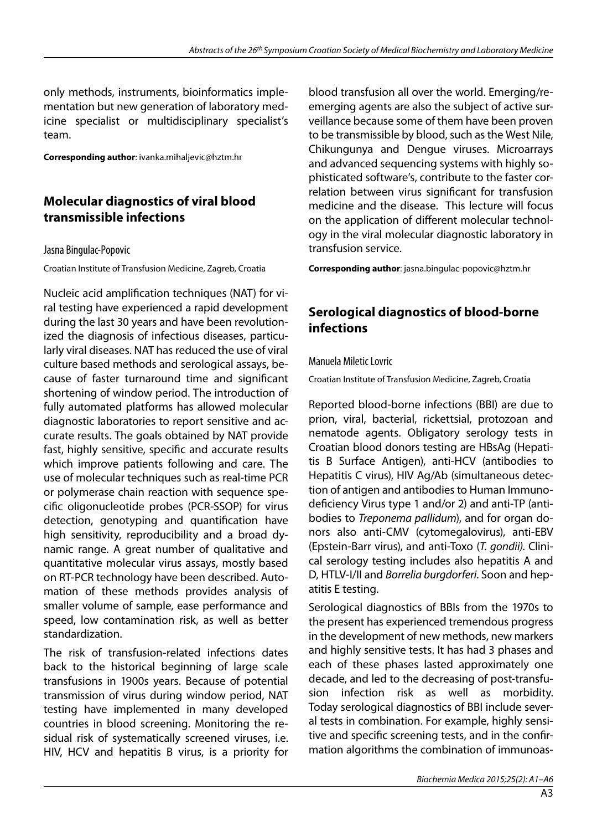only methods, instruments, bioinformatics implementation but new generation of laboratory medicine specialist or multidisciplinary specialist's team.

**Corresponding author**: ivanka.mihaljevic@hztm.hr

### **Molecular diagnostics of viral blood transmissible infections**

#### Jasna Bingulac-Popovic

Croatian Institute of Transfusion Medicine, Zagreb, Croatia

Nucleic acid amplification techniques (NAT) for viral testing have experienced a rapid development during the last 30 years and have been revolutionized the diagnosis of infectious diseases, particularly viral diseases. NAT has reduced the use of viral culture based methods and serological assays, because of faster turnaround time and significant shortening of window period. The introduction of fully automated platforms has allowed molecular diagnostic laboratories to report sensitive and accurate results. The goals obtained by NAT provide fast, highly sensitive, specific and accurate results which improve patients following and care. The use of molecular techniques such as real-time PCR or polymerase chain reaction with sequence specific oligonucleotide probes (PCR-SSOP) for virus detection, genotyping and quantification have high sensitivity, reproducibility and a broad dynamic range. A great number of qualitative and quantitative molecular virus assays, mostly based on RT-PCR technology have been described. Automation of these methods provides analysis of smaller volume of sample, ease performance and speed, low contamination risk, as well as better standardization.

The risk of transfusion-related infections dates back to the historical beginning of large scale transfusions in 1900s years. Because of potential transmission of virus during window period, NAT testing have implemented in many developed countries in blood screening. Monitoring the residual risk of systematically screened viruses, i.e. HIV, HCV and hepatitis B virus, is a priority for

blood transfusion all over the world. Emerging/reemerging agents are also the subject of active surveillance because some of them have been proven to be transmissible by blood, such as the West Nile, Chikungunya and Dengue viruses. Microarrays and advanced sequencing systems with highly sophisticated software's, contribute to the faster correlation between virus significant for transfusion medicine and the disease. This lecture will focus on the application of different molecular technology in the viral molecular diagnostic laboratory in transfusion service.

**Corresponding author**: jasna.bingulac-popovic@hztm.hr

### **Serological diagnostics of blood-borne infections**

#### Manuela Miletic Lovric

Croatian Institute of Transfusion Medicine, Zagreb, Croatia

Reported blood-borne infections (BBI) are due to prion, viral, bacterial, rickettsial, protozoan and nematode agents. Obligatory serology tests in Croatian blood donors testing are HBsAg (Hepatitis B Surface Antigen), anti-HCV (antibodies to Hepatitis C virus), HIV Ag/Ab (simultaneous detection of antigen and antibodies to Human Immunodeficiency Virus type 1 and/or 2) and anti-TP (antibodies to *Treponema pallidum*), and for organ donors also anti-CMV (cytomegalovirus), anti-EBV (Epstein-Barr virus), and anti-Toxo (*T. gondii)*. Clinical serology testing includes also hepatitis A and D, HTLV-I/II and *Borrelia burgdorferi*. Soon and hepatitis E testing.

Serological diagnostics of BBIs from the 1970s to the present has experienced tremendous progress in the development of new methods, new markers and highly sensitive tests. It has had 3 phases and each of these phases lasted approximately one decade, and led to the decreasing of post-transfusion infection risk as well as morbidity. Today serological diagnostics of BBI include several tests in combination. For example, highly sensitive and specific screening tests, and in the confirmation algorithms the combination of immunoas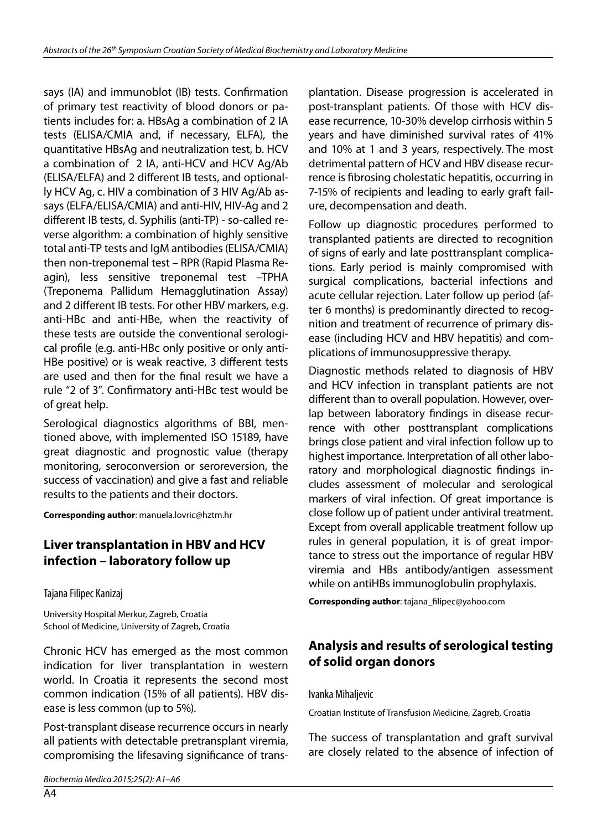says (IA) and immunoblot (IB) tests. Confirmation of primary test reactivity of blood donors or patients includes for: a. HBsAg a combination of 2 IA tests (ELISA/CMIA and, if necessary, ELFA), the quantitative HBsAg and neutralization test, b. HCV a combination of 2 IA, anti-HCV and HCV Ag/Ab (ELISA/ELFA) and 2 different IB tests, and optionally HCV Ag, c. HIV a combination of 3 HIV Ag/Ab assays (ELFA/ELISA/CMIA) and anti-HIV, HIV-Ag and 2 different IB tests, d. Syphilis (anti-TP) - so-called reverse algorithm: a combination of highly sensitive total anti-TP tests and IgM antibodies (ELISA/CMIA) then non-treponemal test – RPR (Rapid Plasma Reagin), less sensitive treponemal test –TPHA (Treponema Pallidum Hemagglutination Assay) and 2 different IB tests. For other HBV markers, e.g. anti-HBc and anti-HBe, when the reactivity of these tests are outside the conventional serological profile (e.g. anti-HBc only positive or only anti-HBe positive) or is weak reactive, 3 different tests are used and then for the final result we have a rule "2 of 3". Confirmatory anti-HBc test would be of great help.

Serological diagnostics algorithms of BBI, mentioned above, with implemented ISO 15189, have great diagnostic and prognostic value (therapy monitoring, seroconversion or seroreversion, the success of vaccination) and give a fast and reliable results to the patients and their doctors.

**Corresponding author**: manuela.lovric@hztm.hr

### **Liver transplantation in HBV and HCV infection – laboratory follow up**

Tajana Filipec Kanizaj

University Hospital Merkur, Zagreb, Croatia School of Medicine, University of Zagreb, Croatia

Chronic HCV has emerged as the most common indication for liver transplantation in western world. In Croatia it represents the second most common indication (15% of all patients). HBV disease is less common (up to 5%).

Post-transplant disease recurrence occurs in nearly all patients with detectable pretransplant viremia, compromising the lifesaving significance of transplantation. Disease progression is accelerated in post-transplant patients. Of those with HCV disease recurrence, 10-30% develop cirrhosis within 5 years and have diminished survival rates of 41% and 10% at 1 and 3 years, respectively. The most detrimental pattern of HCV and HBV disease recurrence is fibrosing cholestatic hepatitis, occurring in 7-15% of recipients and leading to early graft failure, decompensation and death.

Follow up diagnostic procedures performed to transplanted patients are directed to recognition of signs of early and late posttransplant complications. Early period is mainly compromised with surgical complications, bacterial infections and acute cellular rejection. Later follow up period (after 6 months) is predominantly directed to recognition and treatment of recurrence of primary disease (including HCV and HBV hepatitis) and complications of immunosuppressive therapy.

Diagnostic methods related to diagnosis of HBV and HCV infection in transplant patients are not different than to overall population. However, overlap between laboratory findings in disease recurrence with other posttransplant complications brings close patient and viral infection follow up to highest importance. Interpretation of all other laboratory and morphological diagnostic findings includes assessment of molecular and serological markers of viral infection. Of great importance is close follow up of patient under antiviral treatment. Except from overall applicable treatment follow up rules in general population, it is of great importance to stress out the importance of regular HBV viremia and HBs antibody/antigen assessment while on antiHBs immunoglobulin prophylaxis.

**Corresponding author**: tajana\_filipec@yahoo.com

## **Analysis and results of serological testing of solid organ donors**

Ivanka Mihaljevic

Croatian Institute of Transfusion Medicine, Zagreb, Croatia

The success of transplantation and graft survival are closely related to the absence of infection of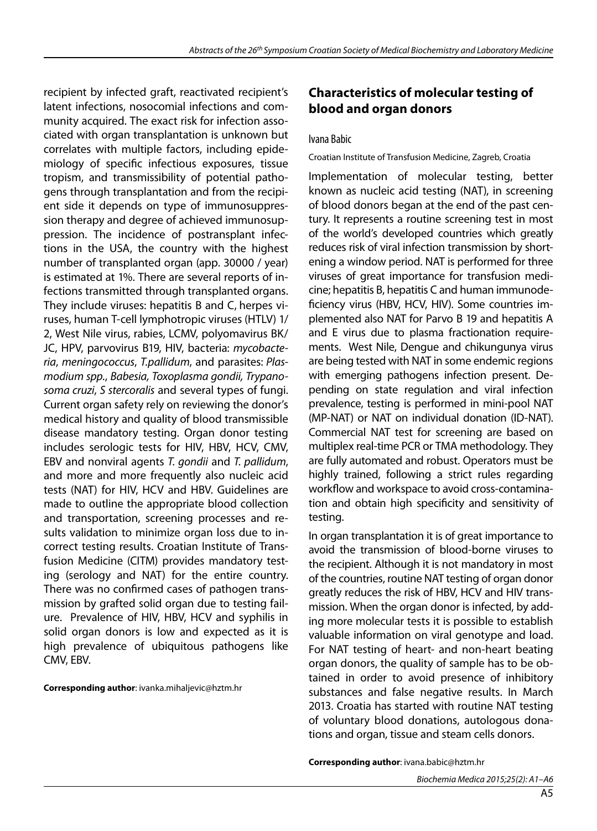recipient by infected graft, reactivated recipient's latent infections, nosocomial infections and community acquired. The exact risk for infection associated with organ transplantation is unknown but correlates with multiple factors, including epidemiology of specific infectious exposures, tissue tropism, and transmissibility of potential pathogens through transplantation and from the recipient side it depends on type of immunosuppression therapy and degree of achieved immunosuppression. The incidence of postransplant infections in the USA, the country with the highest number of transplanted organ (app. 30000 / year) is estimated at 1%. There are several reports of infections transmitted through transplanted organs. They include viruses: hepatitis B and C, herpes viruses, human T-cell lymphotropic viruses (HTLV) 1/ 2, West Nile virus, rabies, LCMV, polyomavirus BK/ JC, HPV, parvovirus B19, HIV, bacteria: *mycobacteria*, *meningococcus*, *T.pallidum*, and parasites: *Plasmodium spp.*, *Babesia, Toxoplasma gondii, Trypanosoma cruzi*, *S stercoralis* and several types of fungi. Current organ safety rely on reviewing the donor's medical history and quality of blood transmissible disease mandatory testing. Organ donor testing includes serologic tests for HIV, HBV, HCV, CMV, EBV and nonviral agents *T. gondii* and *T. pallidum*, and more and more frequently also nucleic acid tests (NAT) for HIV, HCV and HBV. Guidelines are made to outline the appropriate blood collection and transportation, screening processes and results validation to minimize organ loss due to incorrect testing results. Croatian Institute of Transfusion Medicine (CITM) provides mandatory testing (serology and NAT) for the entire country. There was no confirmed cases of pathogen transmission by grafted solid organ due to testing failure. Prevalence of HIV, HBV, HCV and syphilis in solid organ donors is low and expected as it is high prevalence of ubiquitous pathogens like CMV, EBV.

**Corresponding author**: ivanka.mihaljevic@hztm.hr

### **Characteristics of molecular testing of blood and organ donors**

#### Ivana Babic

#### Croatian Institute of Transfusion Medicine, Zagreb, Croatia

Implementation of molecular testing, better known as nucleic acid testing (NAT), in screening of blood donors began at the end of the past century. It represents a routine screening test in most of the world's developed countries which greatly reduces risk of viral infection transmission by shortening a window period. NAT is performed for three viruses of great importance for transfusion medicine; hepatitis B, hepatitis C and human immunodeficiency virus (HBV, HCV, HIV). Some countries implemented also NAT for Parvo B 19 and hepatitis A and E virus due to plasma fractionation requirements. West Nile, Dengue and chikungunya virus are being tested with NAT in some endemic regions with emerging pathogens infection present. Depending on state regulation and viral infection prevalence, testing is performed in mini-pool NAT (MP-NAT) or NAT on individual donation (ID-NAT). Commercial NAT test for screening are based on multiplex real-time PCR or TMA methodology. They are fully automated and robust. Operators must be highly trained, following a strict rules regarding workflow and workspace to avoid cross-contamination and obtain high specificity and sensitivity of testing.

In organ transplantation it is of great importance to avoid the transmission of blood-borne viruses to the recipient. Although it is not mandatory in most of the countries, routine NAT testing of organ donor greatly reduces the risk of HBV, HCV and HIV transmission. When the organ donor is infected, by adding more molecular tests it is possible to establish valuable information on viral genotype and load. For NAT testing of heart- and non-heart beating organ donors, the quality of sample has to be obtained in order to avoid presence of inhibitory substances and false negative results. In March 2013. Croatia has started with routine NAT testing of voluntary blood donations, autologous donations and organ, tissue and steam cells donors.

**Corresponding author**: ivana.babic@hztm.hr